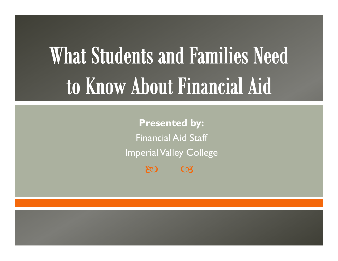# **What Students and Families Need** to Know About Financial Aid

 $80$   $\sigma$ **Presented by:** Financial Aid StaffImperial Valley College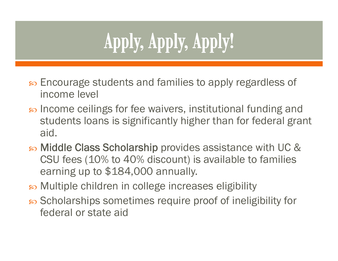## Apply, Apply, Apply!

- s Encourage students and families to apply regardless of income level
- $\infty$  Income ceilings for fee waivers, institutional funding and students loans is significantly higher than for federal grant aid.
- Middle Class Scholarship provides assistance with UC & CSU fees (10% to 40% discount) is available to families earning up to \$184,000 annually.
- Multiple children in college increases eligibility
- so Scholarships sometimes require proof of ineligibility for federal or state aid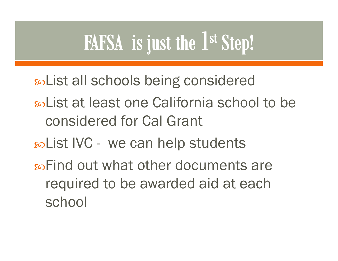## FAFSA is just the 1st Step!

List all schools being considered

- so List at least one California school to be considered for Cal Grant
- List IVC we can help students
- so Find out what other documents are required to be awarded aid at each school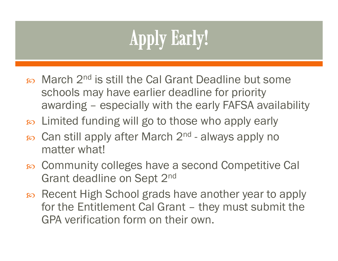## **Apply Early!**

- so March 2<sup>nd</sup> is still the Cal Grant Deadline but some schools may have earlier deadline for priority awarding – especially with the early FAFSA availability
- Limited funding will go to those who apply early
- $\infty$  Can still apply after March 2<sup>nd</sup> always apply no matter what!
- Community colleges have a second Competitive Cal Grant deadline on Sept 2nd
- Recent High School grads have another year to apply for the Entitlement Cal Grant – they must submit the GPA verification form on their own.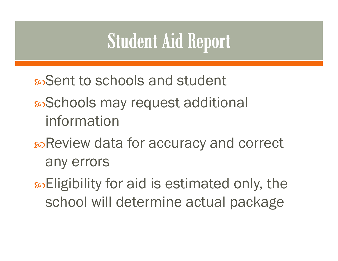## **Student Aid Report**

Sent to schools and student

#### Schools may request additional information

#### Review data for accuracy and correct any errors

so Eligibility for aid is estimated only, the school will determine actual package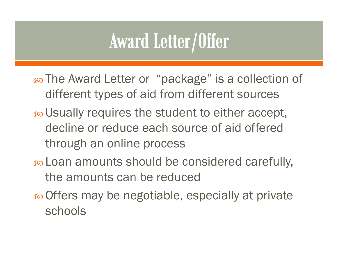### **Award Letter/Offer**

- The Award Letter or "package" is a collection of different types of aid from different sources
- $\infty$  Usually requires the student to either accept, decline or reduce each source of aid offered through an online process
- Loan amounts should be considered carefully, the amounts can be reduced
- Offers may be negotiable, especially at private schools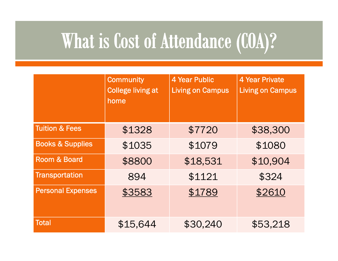## What is Cost of Attendance (COA)?

|                             | <b>Community</b><br><b>College living at</b><br>home | <b>4 Year Public</b><br><b>Living on Campus</b> | <b>4 Year Private</b><br><b>Living on Campus</b> |
|-----------------------------|------------------------------------------------------|-------------------------------------------------|--------------------------------------------------|
| <b>Tuition &amp; Fees</b>   | \$1328                                               | \$7720                                          | \$38,300                                         |
| <b>Books &amp; Supplies</b> | \$1035                                               | \$1079                                          | \$1080                                           |
| <b>Room &amp; Board</b>     | \$8800                                               | \$18,531                                        | \$10,904                                         |
| <b>Transportation</b>       | 894                                                  | \$1121                                          | \$324                                            |
| <b>Personal Expenses</b>    | \$3583                                               | \$1789                                          | \$2610                                           |
| <b>Total</b>                | \$15,644                                             | \$30,240                                        | \$53,218                                         |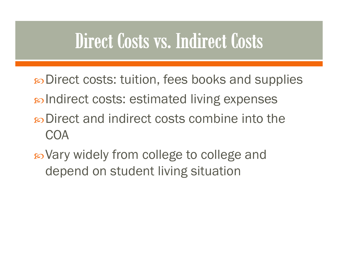#### Direct Costs vs. Indirect Costs

- Direct costs: tuition, fees books and supplies Indirect costs: estimated living expenses so Direct and indirect costs combine into the COA
- Vary widely from college to college and depend on student living situation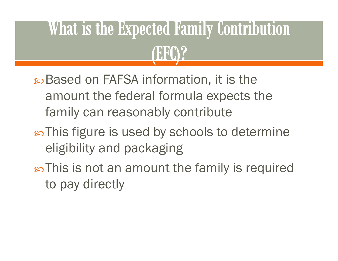## What is the Expected Family Contribution **TERM?**

Based on FAFSA information, it is the amount the federal formula expects the family can reasonably contribute

- $\infty$ This figure is used by schools to determine eligibility and packaging
- This is not an amount the family is required to pay directly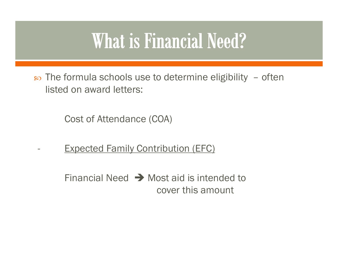#### **What is Financial Need?**

න The formula schools use to determine eligibility – often listed on award letters:

Cost of Attendance (COA)

**-**

Expected Family Contribution (EFC)

Financial Need  $\rightarrow$  Most aid is intended to cover this amount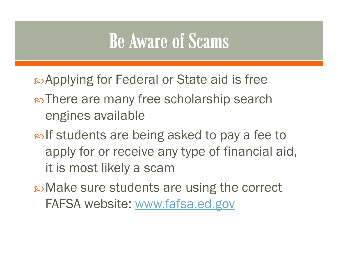#### **Be Aware of Scams**

Applying for Federal or State aid is free

- so There are many free scholarship search engines available
- solf students are being asked to pay a fee to apply for or receive any type of financial aid, it is most likely a scam

Make sure students are using the correct FAFSA website: www.fafsa.ed.gov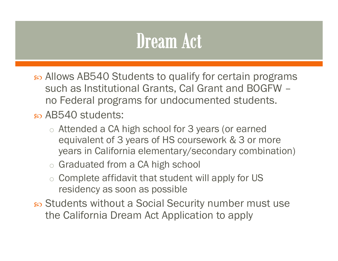#### **Dream Act**

- Allows AB540 Students to qualify for certain programs such as Institutional Grants, Cal Grant and BOGFW – no Federal programs for undocumented students.
- $\infty$  AB540 students:
	- $\circ$  Attended a CA high school for 3 years (or earned equivalent of 3 years of HS coursework & 3 or more years in California elementary/secondary combination)
	- o Graduated from a CA high school
	- $\circ$  Complete affidavit that student will apply for US residency as soon as possible
- Students without a Social Security number must use the California Dream Act Application to apply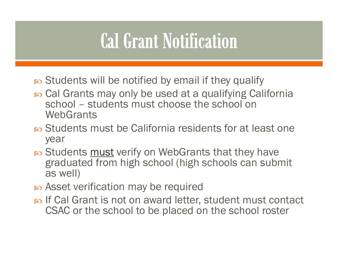#### **Cal Grant Notification**

- s Students will be notified by email if they qualify
- Cal Grants may only be used at a qualifying California school – students must choose the school on **WebGrants**
- so Students must be California residents for at least one year
- න Students must verify on WebGrants that they have graduated from high school (high schools can submit as well)
- so Asset verification may be required
- s If Cal Grant is not on award letter, student must contact CSAC or the school to be placed on the school roster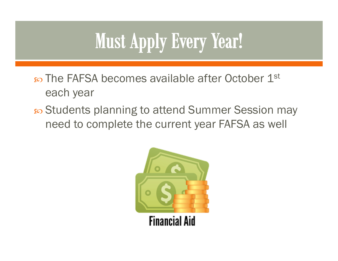## **Must Apply Every Year!**

- $\infty$  The FAFSA becomes available after October  $1^\text{st}$ each year
- න Students planning to attend Summer Session may need to complete the current year FAFSA as well

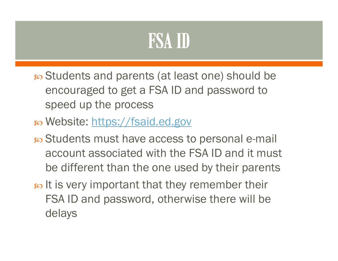#### **FSA ID**

- Students and parents (at least one) should be encouraged to get a FSA ID and password to speed up the process
- න Website: <u>https://fsaid.ed.gov</u>
- න Students must have access to personal e-mail account associated with the FSA ID and it must be different than the one used by their parents
- $\epsilon$  It is very important that they remember their FSA ID and password, otherwise there will be delays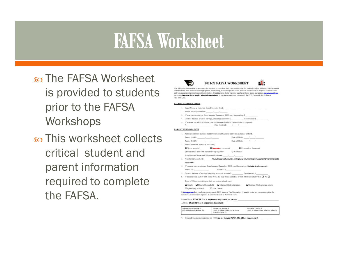#### **FAFSA Worksheet**

so The FAFSA Worksheet is provided to students prior to the FAFSA Workshops

හි This worksheet collects critical student and parent information required to complete the FAFSA.





The following information is necessary for students to complete their Pree Application for Federal Student Aid (FAPSA) in persuit<br>of federal and state assistance through grants, week-study, scholarships and loans. Parents' and we encourage parents to assist their student. Grandparents, foster parents, legal guardians, auxts and uncles appearance parents unless they have legally adopted the student. If you have questions, please call the IVC Pinencial Aid Office at 760-155-6266

#### STUDENT INFORMATION

- 1. Legal Name as listed on Social Security Card: 2. Social Security Number: 3. If you were employed from January-December 2019 provide earnings \$
- 4. Current balance of cash, savings, checking accounts: \$ \_\_\_\_\_\_\_\_\_\_\_\_, Investments: \$ 5. If you are not a U.S. Citizen, your resident card (MICA) information is required.
- 

#### **FARENT INFORMATION**

| Ι. |                                      | Parent(s) (father, mother, stepparent) Social Security wentbers and dates of birth.           |                    |                                                                                                           |  |
|----|--------------------------------------|-----------------------------------------------------------------------------------------------|--------------------|-----------------------------------------------------------------------------------------------------------|--|
|    |                                      |                                                                                               | Date of Birth: / / |                                                                                                           |  |
|    |                                      |                                                                                               | Date of Birth: / / |                                                                                                           |  |
| z. | Parent's marital status: (Check one) |                                                                                               |                    |                                                                                                           |  |
|    | Never married                        | C Macrossimor restaurried                                                                     |                    | <b>Q</b> Divorced or Separated                                                                            |  |
|    |                                      | □ Unmarried and both parents living together □ Widewed                                        |                    |                                                                                                           |  |
|    |                                      | Date Married/Separated/Divorced/Widowed: / /                                                  |                    |                                                                                                           |  |
| 5. |                                      |                                                                                               |                    | Number in household: (helade yourself, parents, slicings and others thring in household if more than 1006 |  |
|    | <b>DARRENTED</b>                     |                                                                                               |                    |                                                                                                           |  |
| 4. |                                      | If parents were employed from January-December 2019 provide earnings (backeds fevelow waper): |                    |                                                                                                           |  |
|    | Patent 1 S                           | Patent 2 S                                                                                    |                    |                                                                                                           |  |

- 5. Current balance of savings/checking accounts or cash \$ Irrestments \$
- 6. If parents filed a 2019 IRS form 1040, did they file a Schedule 1 with 2019 tox return? Yes  $\square$  No  $\square$

Type of filing, according to their tax return (check one):

Single **C** Head of household **C** Married-filed join return Married-filed separate return Qualifying widower Q Dox't know

It incomposed that you bring your parents 2019 Income Tax Return(s). If unable to do so, please complete the following information required to use the IRS Data Retrieval tool:

```
Patent Name EXACTLY as it appears on top line of tax return:
```
Address EXACTLY as it appears on tax return:

| Adjusted Grous Incorne: \$<br>(2019 BS form 1040-line 8b) | <b>Income tax amount: S</b><br>(2019 BS form 1940-line 14 minus<br>hedule 2-line 25 | <b>Nikatotica Chalike S</b><br>(2019 BS form 1940- Schadule 3-line 3) |
|-----------------------------------------------------------|-------------------------------------------------------------------------------------|-----------------------------------------------------------------------|
|-----------------------------------------------------------|-------------------------------------------------------------------------------------|-----------------------------------------------------------------------|

7. Untaxed income not reported on 1040 (de not include TANF, SEA, SSI or student cit(; S,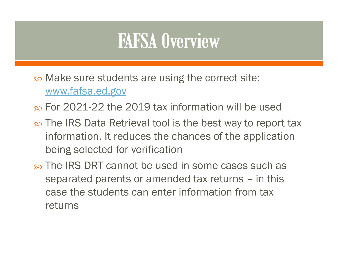#### **FAFSA Overview**

- Make sure students are using the correct site: www.fafsa.ed.gov
- For 2021-22 the 2019 tax information will be used
- න The IRS Data Retrieval tool is the best way to report tax information. It reduces the chances of the application being selected for verification
- The IRS DRT cannot be used in some cases such as separated parents or amended tax returns – in this case the students can enter information from tax returns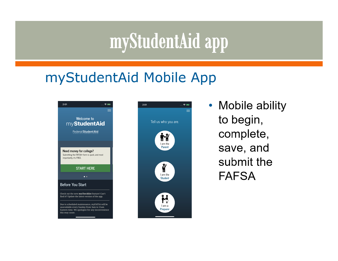### myStudentAid app

#### myStudentAid Mobile App





• Mobile ability to begin, complete, save, and submit the **FAFSA**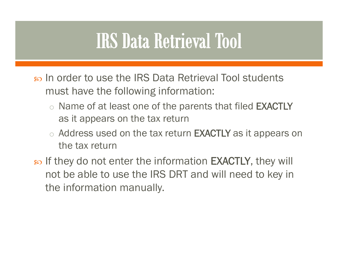#### **IRS Data Retrieval Tool**

- s In order to use the IRS Data Retrieval Tool students must have the following information:
	- $\circ$  Name of at least one of the parents that filed  $\mathsf{EXACTLY}$ as it appears on the tax return
	- $\circ$  Address used on the tax return **EXACTLY** as it appears on the tax return
- s If they do not enter the information EXACTLY, they will not be able to use the IRS DRT and will need to key in the information manually.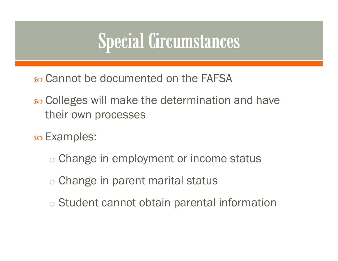### Special Circumstances

Cannot be documented on the FAFSA

- Colleges will make the determination and have their own processes
- <sub>s</sub> Examples:
	- o Change in employment or income status
	- o Change in parent marital status
	- o Student cannot obtain parental information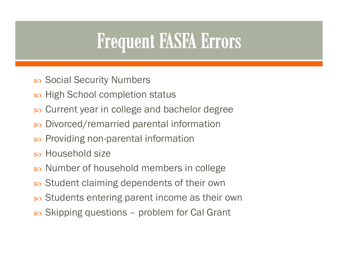### **Frequent FASFA Errors**

- $\,$  Social Security Numbers
- න High School completion status
- Current year in college and bachelor degree
- $\infty$ Divorced/remarried parental information
- Providing non-parental information
- Household size
- න Number of household members in college
- $\, {\bf s}$  Student claiming dependents of their own
- $\, {\bf s}$  Students entering parent income as their own
- $\infty$  Skipping questions problem for Cal Grant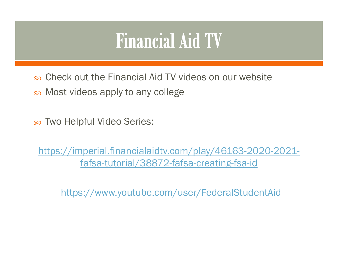#### **Financial Aid TV**

Check out the Financial Aid TV videos on our website

Most videos apply to any college

Two Helpful Video Series:

https://imperial.financialaidtv.com/play/46163-2020-2021 fafsa-tutorial/38872-fafsa-creating-fsa-id

https://www.youtube.com/user/FederalStudentAid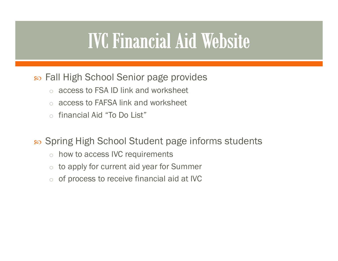#### **IVC Financial Aid Website**

#### $\bm{\mathscr{E}}$  Fall High School Senior page provides

- oaccess to FSA ID link and worksheet
- oaccess to FAFSA link and worksheet
- ofinancial Aid "To Do List"

 $\, {\bf s}$  Spring High School Student page informs students

- ohow to access IVC requirements
- oto apply for current aid year for Summer
- oof process to receive financial aid at IVC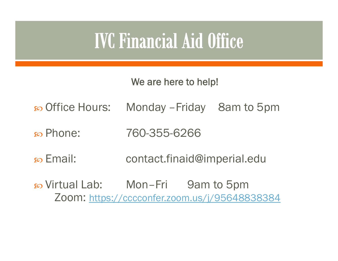#### **IVC Financial Aid Office**

We are here to help!

- ణ Office Hours: Monday – Friday 8am to 5pm
- so Phone: Phone: 760-355-6266
- $\infty$  Email: contact.finaid@imperial.edu
- න Virtual Lab: Mon–Fri 9am to 5pm Zoom: https://cccconfer.zoom.us/j/95648838384